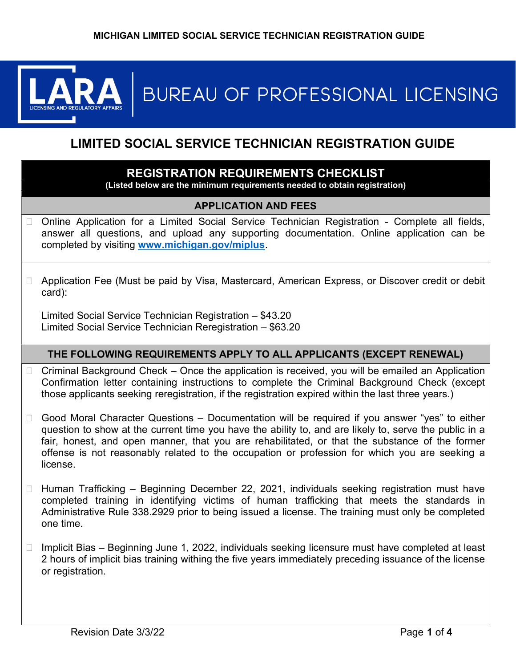

# BUREAU OF PROFESSIONAL LICENSING

# LIMITED SOCIAL SERVICE TECHNICIAN REGISTRATION GUIDE

## REGISTRATION REQUIREMENTS CHECKLIST

(Listed below are the minimum requirements needed to obtain registration)

## APPLICATION AND FEES

- □ Online Application for a Limited Social Service Technician Registration Complete all fields, answer all questions, and upload any supporting documentation. Online application can be completed by visiting www.michigan.gov/miplus.
- □ Application Fee (Must be paid by Visa, Mastercard, American Express, or Discover credit or debit card):

Limited Social Service Technician Registration – \$43.20 Limited Social Service Technician Reregistration – \$63.20

#### THE FOLLOWING REQUIREMENTS APPLY TO ALL APPLICANTS (EXCEPT RENEWAL)

- $\Box$  Criminal Background Check Once the application is received, you will be emailed an Application Confirmation letter containing instructions to complete the Criminal Background Check (except those applicants seeking reregistration, if the registration expired within the last three years.)
- $\Box$  Good Moral Character Questions Documentation will be required if you answer "yes" to either question to show at the current time you have the ability to, and are likely to, serve the public in a fair, honest, and open manner, that you are rehabilitated, or that the substance of the former offense is not reasonably related to the occupation or profession for which you are seeking a license.
- $\Box$  Human Trafficking Beginning December 22, 2021, individuals seeking registration must have completed training in identifying victims of human trafficking that meets the standards in Administrative Rule 338.2929 prior to being issued a license. The training must only be completed one time.
- $\Box$  Implicit Bias Beginning June 1, 2022, individuals seeking licensure must have completed at least 2 hours of implicit bias training withing the five years immediately preceding issuance of the license or registration.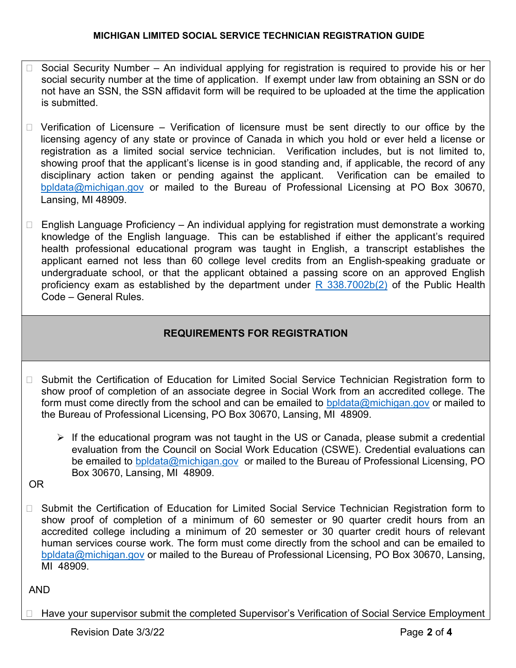- $\Box$  Social Security Number An individual applying for registration is required to provide his or her social security number at the time of application. If exempt under law from obtaining an SSN or do not have an SSN, the SSN affidavit form will be required to be uploaded at the time the application is submitted.
- $\Box$  Verification of Licensure Verification of licensure must be sent directly to our office by the licensing agency of any state or province of Canada in which you hold or ever held a license or registration as a limited social service technician. Verification includes, but is not limited to, showing proof that the applicant's license is in good standing and, if applicable, the record of any disciplinary action taken or pending against the applicant. Verification can be emailed to bpldata@michigan.gov or mailed to the Bureau of Professional Licensing at PO Box 30670, Lansing, MI 48909.
- $\Box$  English Language Proficiency An individual applying for registration must demonstrate a working knowledge of the English language. This can be established if either the applicant's required health professional educational program was taught in English, a transcript establishes the applicant earned not less than 60 college level credits from an English-speaking graduate or undergraduate school, or that the applicant obtained a passing score on an approved English proficiency exam as established by the department under  $R$  338.7002b(2) of the Public Health Code – General Rules.

# REQUIREMENTS FOR REGISTRATION

- □ Submit the Certification of Education for Limited Social Service Technician Registration form to show proof of completion of an associate degree in Social Work from an accredited college. The form must come directly from the school and can be emailed to bpldata@michigan.gov or mailed to the Bureau of Professional Licensing, PO Box 30670, Lansing, MI 48909.
	- $\triangleright$  If the educational program was not taught in the US or Canada, please submit a credential evaluation from the Council on Social Work Education (CSWE). Credential evaluations can be emailed to bpldata@michigan.gov or mailed to the Bureau of Professional Licensing, PO Box 30670, Lansing, MI 48909.
- OR
- □ Submit the Certification of Education for Limited Social Service Technician Registration form to show proof of completion of a minimum of 60 semester or 90 quarter credit hours from an accredited college including a minimum of 20 semester or 30 quarter credit hours of relevant human services course work. The form must come directly from the school and can be emailed to bpldata@michigan.gov or mailed to the Bureau of Professional Licensing, PO Box 30670, Lansing, MI 48909.

# AND

□ Have your supervisor submit the completed Supervisor's Verification of Social Service Employment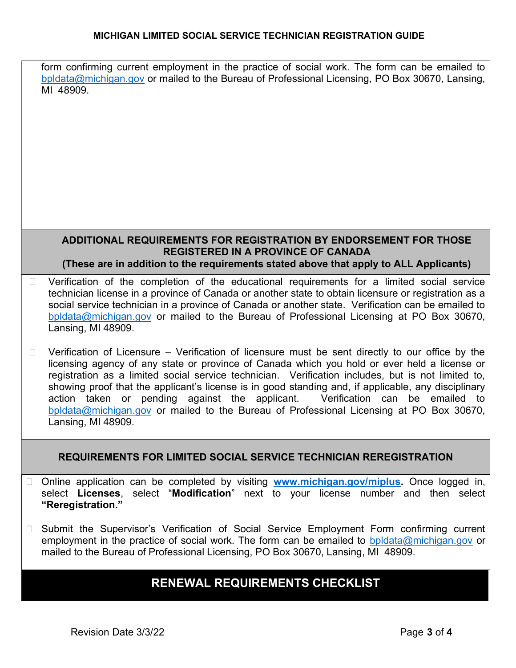#### MICHIGAN LIMITED SOCIAL SERVICE TECHNICIAN REGISTRATION GUIDE

form confirming current employment in the practice of social work. The form can be emailed to bpldata@michigan.gov or mailed to the Bureau of Professional Licensing, PO Box 30670, Lansing, MI 48909.

#### ADDITIONAL REQUIREMENTS FOR REGISTRATION BY ENDORSEMENT FOR THOSE REGISTERED IN A PROVINCE OF CANADA (These are in addition to the requirements stated above that apply to ALL Applicants)

- D Verification of the completion of the educational requirements for a limited social service technician license in a province of Canada or another state to obtain licensure or registration as a social service technician in a province of Canada or another state. Verification can be emailed to bpldata@michigan.gov or mailed to the Bureau of Professional Licensing at PO Box 30670, Lansing, MI 48909.
- $\Box$  Verification of Licensure Verification of licensure must be sent directly to our office by the licensing agency of any state or province of Canada which you hold or ever held a license or registration as a limited social service technician. Verification includes, but is not limited to, showing proof that the applicant's license is in good standing and, if applicable, any disciplinary action taken or pending against the applicant. Verification can be emailed to bpldata@michigan.gov or mailed to the Bureau of Professional Licensing at PO Box 30670, Lansing, MI 48909.

## REQUIREMENTS FOR LIMITED SOCIAL SERVICE TECHNICIAN REREGISTRATION

- □ Online application can be completed by visiting www.michigan.gov/miplus. Once logged in, select Licenses, select "Modification" next to your license number and then select "Reregistration."
- □ Submit the Supervisor's Verification of Social Service Employment Form confirming current employment in the practice of social work. The form can be emailed to bpldata@michigan.gov or mailed to the Bureau of Professional Licensing, PO Box 30670, Lansing, MI 48909.

# RENEWAL REQUIREMENTS CHECKLIST